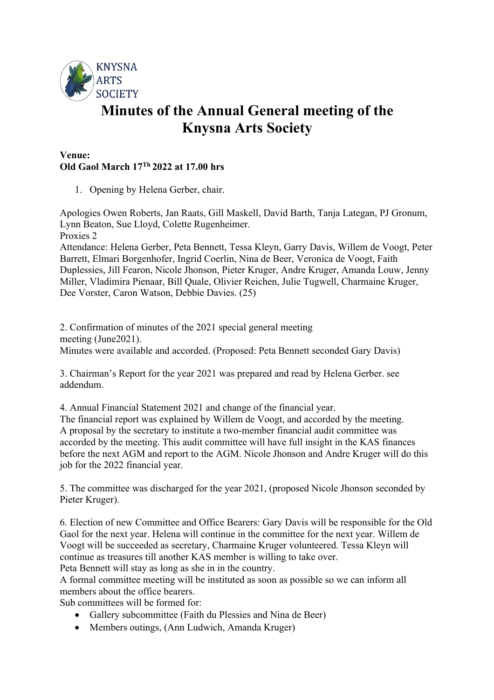

## **Minutes of the Annual General meeting of the Knysna Arts Society**

## **Venue: Old Gaol March 17Th 2022 at 17.00 hrs**

1. Opening by Helena Gerber, chair.

Apologies Owen Roberts, Jan Raats, Gill Maskell, David Barth, Tanja Lategan, PJ Gronum, Lynn Beaton, Sue Lloyd, Colette Rugenheimer. Proxies 2

Attendance: Helena Gerber, Peta Bennett, Tessa Kleyn, Garry Davis, Willem de Voogt, Peter Barrett, Elmari Borgenhofer, Ingrid Coerlin, Nina de Beer, Veronica de Voogt, Faith Duplessies, Jill Fearon, Nicole Jhonson, Pieter Kruger, Andre Kruger, Amanda Louw, Jenny Miller, Vladimira Pienaar, Bill Quale, Olivier Reichen, Julie Tugwell, Charmaine Kruger, Dee Vorster, Caron Watson, Debbie Davies. (25)

2. Confirmation of minutes of the 2021 special general meeting meeting (June2021). Minutes were available and accorded. (Proposed: Peta Bennett seconded Gary Davis)

3. Chairman's Report for the year 2021 was prepared and read by Helena Gerber. see addendum.

4. Annual Financial Statement 2021 and change of the financial year.

The financial report was explained by Willem de Voogt, and accorded by the meeting. A proposal by the secretary to institute a two-member financial audit committee was accorded by the meeting. This audit committee will have full insight in the KAS finances before the next AGM and report to the AGM. Nicole Jhonson and Andre Kruger will do this job for the 2022 financial year.

5. The committee was discharged for the year 2021, (proposed Nicole Jhonson seconded by Pieter Kruger).

6. Election of new Committee and Office Bearers: Gary Davis will be responsible for the Old Gaol for the next year. Helena will continue in the committee for the next year. Willem de Voogt will be succeeded as secretary, Charmaine Kruger volunteered. Tessa Kleyn will continue as treasures till another KAS member is willing to take over. Peta Bennett will stay as long as she in in the country.

A formal committee meeting will be instituted as soon as possible so we can inform all members about the office bearers.

Sub committees will be formed for:

- Gallery subcommittee (Faith du Plessies and Nina de Beer)
- Members outings, (Ann Ludwich, Amanda Kruger)